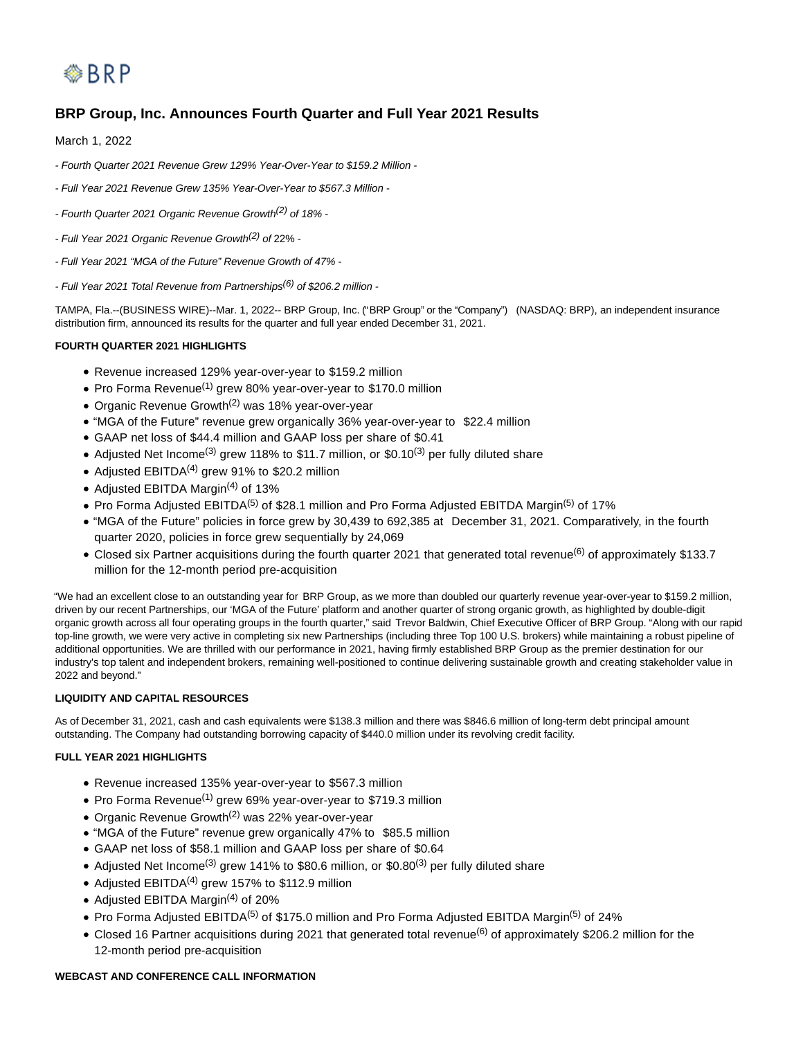

# **BRP Group, Inc. Announces Fourth Quarter and Full Year 2021 Results**

March 1, 2022

- Fourth Quarter 2021 Revenue Grew 129% Year-Over-Year to \$159.2 Million -
- Full Year 2021 Revenue Grew 135% Year-Over-Year to \$567.3 Million -
- Fourth Quarter 2021 Organic Revenue Growth(2) of 18% -
- Full Year 2021 Organic Revenue Growth<sup>(2)</sup> of 22% -
- Full Year 2021 "MGA of the Future" Revenue Growth of 47% -
- Full Year 2021 Total Revenue from Partnerships<sup>(6)</sup> of \$206.2 million -

TAMPA, Fla.--(BUSINESS WIRE)--Mar. 1, 2022-- BRP Group, Inc. ("BRP Group" or the "Company") (NASDAQ: BRP), an independent insurance distribution firm, announced its results for the quarter and full year ended December 31, 2021.

### **FOURTH QUARTER 2021 HIGHLIGHTS**

- Revenue increased 129% year-over-year to \$159.2 million
- Pro Forma Revenue<sup>(1)</sup> grew 80% year-over-year to \$170.0 million
- Organic Revenue Growth<sup>(2)</sup> was 18% year-over-year
- "MGA of the Future" revenue grew organically 36% year-over-year to \$22.4 million
- GAAP net loss of \$44.4 million and GAAP loss per share of \$0.41
- Adjusted Net Income<sup>(3)</sup> grew 118% to \$11.7 million, or \$0.10<sup>(3)</sup> per fully diluted share
- Adjusted EBITDA<sup>(4)</sup> grew 91% to \$20.2 million
- Adjusted EBITDA Margin<sup>(4)</sup> of 13%
- Pro Forma Adjusted EBITDA<sup>(5)</sup> of \$28.1 million and Pro Forma Adjusted EBITDA Margin<sup>(5)</sup> of 17%
- "MGA of the Future" policies in force grew by 30,439 to 692,385 at December 31, 2021. Comparatively, in the fourth quarter 2020, policies in force grew sequentially by 24,069
- Closed six Partner acquisitions during the fourth quarter 2021 that generated total revenue<sup>(6)</sup> of approximately \$133.7 million for the 12-month period pre-acquisition

"We had an excellent close to an outstanding year for BRP Group, as we more than doubled our quarterly revenue year-over-year to \$159.2 million, driven by our recent Partnerships, our 'MGA of the Future' platform and another quarter of strong organic growth, as highlighted by double-digit organic growth across all four operating groups in the fourth quarter," said Trevor Baldwin, Chief Executive Officer of BRP Group. "Along with our rapid top-line growth, we were very active in completing six new Partnerships (including three Top 100 U.S. brokers) while maintaining a robust pipeline of additional opportunities. We are thrilled with our performance in 2021, having firmly established BRP Group as the premier destination for our industry's top talent and independent brokers, remaining well-positioned to continue delivering sustainable growth and creating stakeholder value in 2022 and beyond."

### **LIQUIDITY AND CAPITAL RESOURCES**

As of December 31, 2021, cash and cash equivalents were \$138.3 million and there was \$846.6 million of long-term debt principal amount outstanding. The Company had outstanding borrowing capacity of \$440.0 million under its revolving credit facility.

### **FULL YEAR 2021 HIGHLIGHTS**

- Revenue increased 135% year-over-year to \$567.3 million
- $\bullet$  Pro Forma Revenue<sup>(1)</sup> grew 69% year-over-year to \$719.3 million
- $\bullet$  Organic Revenue Growth<sup>(2)</sup> was 22% year-over-year
- "MGA of the Future" revenue grew organically 47% to \$85.5 million
- GAAP net loss of \$58.1 million and GAAP loss per share of \$0.64
- Adjusted Net Income<sup>(3)</sup> grew 141% to \$80.6 million, or \$0.80<sup>(3)</sup> per fully diluted share
- Adjusted EBITDA<sup>(4)</sup> grew 157% to \$112.9 million
- Adjusted EBITDA Margin<sup>(4)</sup> of 20%
- Pro Forma Adjusted EBITDA<sup>(5)</sup> of \$175.0 million and Pro Forma Adjusted EBITDA Margin<sup>(5)</sup> of 24%
- Closed 16 Partner acquisitions during 2021 that generated total revenue<sup>(6)</sup> of approximately \$206.2 million for the 12-month period pre-acquisition

### **WEBCAST AND CONFERENCE CALL INFORMATION**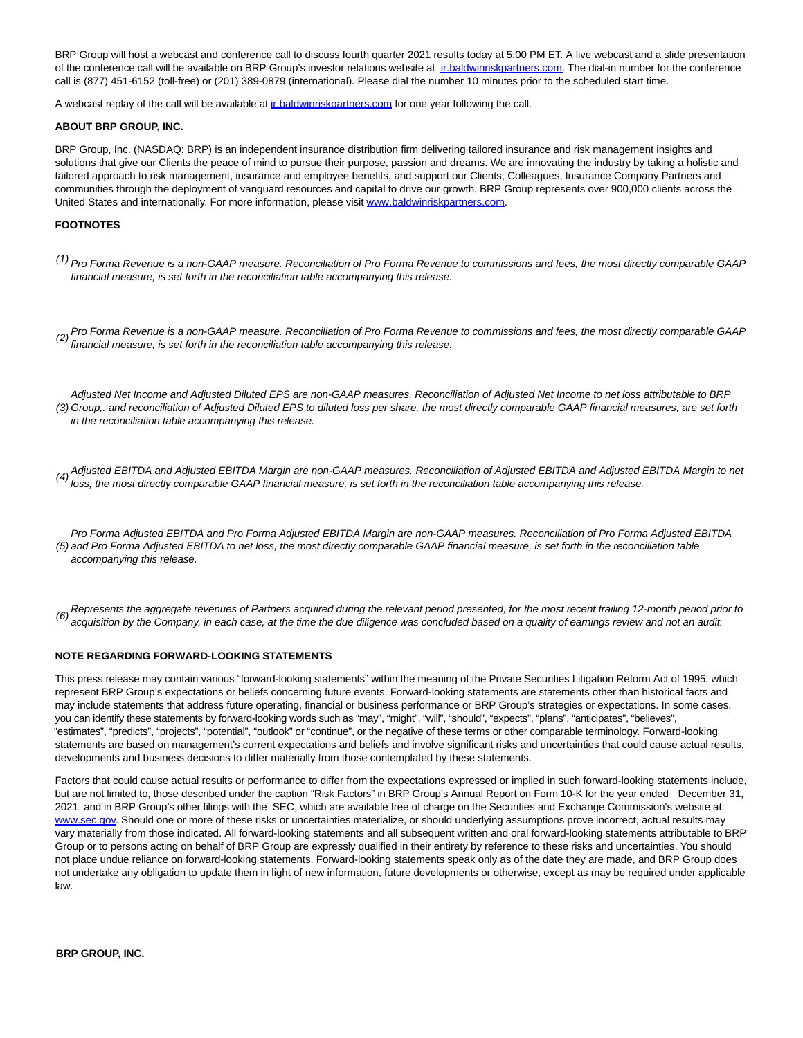BRP Group will host a webcast and conference call to discuss fourth quarter 2021 results today at 5:00 PM ET. A live webcast and a slide presentation of the conference call will be available on BRP Group's investor relations website at in baldwinriskpartners.com. The dial-in number for the conference call is (877) 451-6152 (toll-free) or (201) 389-0879 (international). Please dial the number 10 minutes prior to the scheduled start time.

A webcast replay of the call will be available at [ir.baldwinriskpartners.com f](https://cts.businesswire.com/ct/CT?id=smartlink&url=https%3A%2F%2Fir.baldwinriskpartners.com%2F&esheet=52587938&newsitemid=20220301006142&lan=en-US&anchor=ir.baldwinriskpartners.com&index=2&md5=82ed6dd71bb9221024cd6d622ae19eab)or one year following the call.

### **ABOUT BRP GROUP, INC.**

BRP Group, Inc. (NASDAQ: BRP) is an independent insurance distribution firm delivering tailored insurance and risk management insights and solutions that give our Clients the peace of mind to pursue their purpose, passion and dreams. We are innovating the industry by taking a holistic and tailored approach to risk management, insurance and employee benefits, and support our Clients, Colleagues, Insurance Company Partners and communities through the deployment of vanguard resources and capital to drive our growth. BRP Group represents over 900,000 clients across the United States and internationally. For more information, please visit [www.baldwinriskpartners.com.](https://cts.businesswire.com/ct/CT?id=smartlink&url=http%3A%2F%2Fwww.baldwinriskpartners.com&esheet=52587938&newsitemid=20220301006142&lan=en-US&anchor=www.baldwinriskpartners.com&index=3&md5=b327603cea5f01259d1209ab9a1ec743)

### **FOOTNOTES**

 $^{(1)}$  Pro Forma Revenue is a non-GAAP measure. Reconciliation of Pro Forma Revenue to commissions and fees, the most directly comparable GAAP financial measure, is set forth in the reconciliation table accompanying this release.

Pro Forma Revenue is a non-GAAP measure. Reconciliation of Pro Forma Revenue to commissions and fees, the most directly comparable GAAP financial measure, is set forth in the reconciliation table accompanying this release.

(3) Group,. and reconciliation of Adjusted Diluted EPS to diluted loss per share, the most directly comparable GAAP financial measures, are set forth Adjusted Net Income and Adjusted Diluted EPS are non-GAAP measures. Reconciliation of Adjusted Net Income to net loss attributable to BRP in the reconciliation table accompanying this release.

(4) Adjusted EBITDA and Adjusted EBITDA Margin are non-GAAP measures. Reconciliation of Adjusted EBITDA and Adjusted EBITDA Margin to net loss, the most directly comparable GAAP financial measure, is set forth in the reconciliation table accompanying this release.

(5) and Pro Forma Adjusted EBITDA to net loss, the most directly comparable GAAP financial measure, is set forth in the reconciliation table Pro Forma Adjusted EBITDA and Pro Forma Adjusted EBITDA Margin are non-GAAP measures. Reconciliation of Pro Forma Adjusted EBITDA accompanying this release.

(6) Represents the aggregate revenues of Partners acquired during the relevant period presented, for the most recent trailing 12-month period prior to acquisition by the Company, in each case, at the time the due diligence was concluded based on a quality of earnings review and not an audit.

#### **NOTE REGARDING FORWARD-LOOKING STATEMENTS**

This press release may contain various "forward-looking statements" within the meaning of the Private Securities Litigation Reform Act of 1995, which represent BRP Group's expectations or beliefs concerning future events. Forward-looking statements are statements other than historical facts and may include statements that address future operating, financial or business performance or BRP Group's strategies or expectations. In some cases, you can identify these statements by forward-looking words such as "may", "might", "will", "should", "expects", "plans", "anticipates", "believes", "estimates", "predicts", "projects", "potential", "outlook" or "continue", or the negative of these terms or other comparable terminology. Forward-looking statements are based on management's current expectations and beliefs and involve significant risks and uncertainties that could cause actual results, developments and business decisions to differ materially from those contemplated by these statements.

Factors that could cause actual results or performance to differ from the expectations expressed or implied in such forward-looking statements include, but are not limited to, those described under the caption "Risk Factors" in BRP Group's Annual Report on Form 10-K for the year ended December 31, 2021, and in BRP Group's other filings with the SEC, which are available free of charge on the Securities and Exchange Commission's website at: [www.sec.gov.](https://cts.businesswire.com/ct/CT?id=smartlink&url=http%3A%2F%2Fwww.sec.gov&esheet=52587938&newsitemid=20220301006142&lan=en-US&anchor=www.sec.gov&index=4&md5=876fea2bda44054c73d4100d65e4c069) Should one or more of these risks or uncertainties materialize, or should underlying assumptions prove incorrect, actual results may vary materially from those indicated. All forward-looking statements and all subsequent written and oral forward-looking statements attributable to BRP Group or to persons acting on behalf of BRP Group are expressly qualified in their entirety by reference to these risks and uncertainties. You should not place undue reliance on forward-looking statements. Forward-looking statements speak only as of the date they are made, and BRP Group does not undertake any obligation to update them in light of new information, future developments or otherwise, except as may be required under applicable law.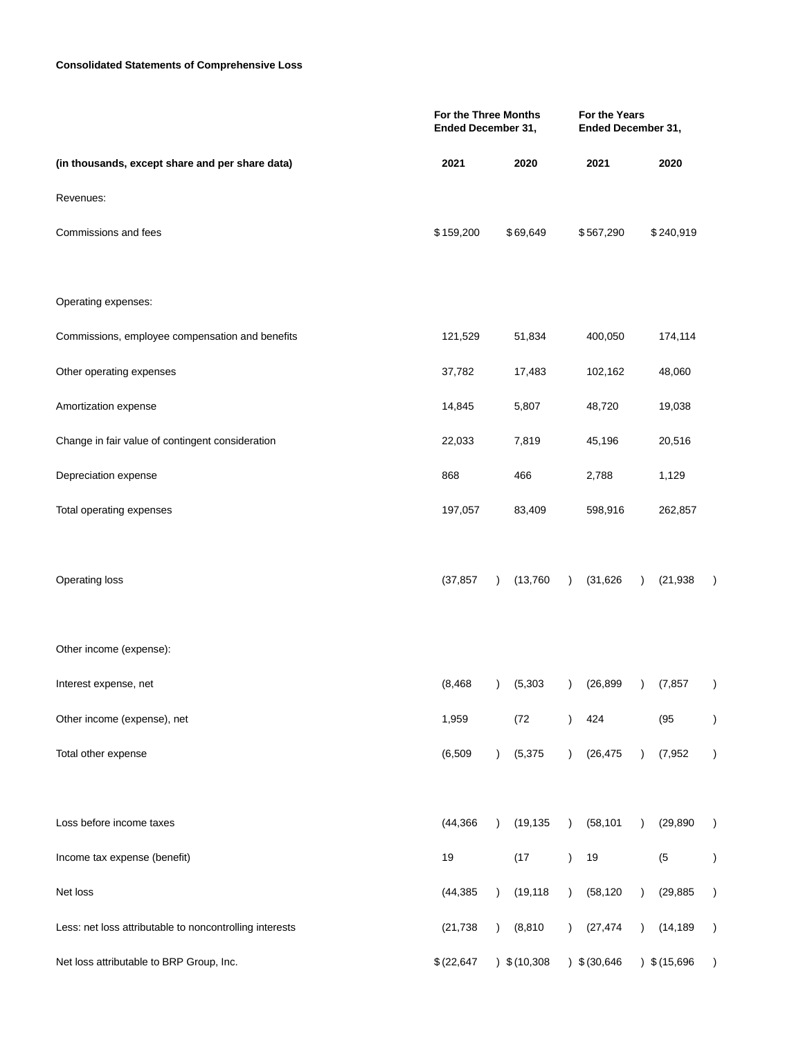### **Consolidated Statements of Comprehensive Loss**

|                                                         | For the Three Months<br>Ended December 31, |                       | For the Years<br>Ended December 31, |                        |  |  |  |
|---------------------------------------------------------|--------------------------------------------|-----------------------|-------------------------------------|------------------------|--|--|--|
| (in thousands, except share and per share data)         | 2021                                       | 2020                  | 2021                                | 2020                   |  |  |  |
| Revenues:                                               |                                            |                       |                                     |                        |  |  |  |
| Commissions and fees                                    | \$159,200                                  | \$69,649              | \$567,290                           | \$240,919              |  |  |  |
|                                                         |                                            |                       |                                     |                        |  |  |  |
| Operating expenses:                                     |                                            |                       |                                     |                        |  |  |  |
| Commissions, employee compensation and benefits         | 121,529                                    | 51,834                | 400,050                             | 174,114                |  |  |  |
| Other operating expenses                                | 37,782                                     | 17,483                | 102,162                             | 48,060                 |  |  |  |
| Amortization expense                                    | 14,845                                     | 5,807                 | 48,720                              | 19,038                 |  |  |  |
| Change in fair value of contingent consideration        | 22,033                                     | 7,819                 | 45,196                              |                        |  |  |  |
| Depreciation expense                                    | 868                                        | 466                   |                                     | 1,129                  |  |  |  |
| Total operating expenses                                | 197,057                                    | 83,409                | 598,916                             | 262,857                |  |  |  |
|                                                         |                                            |                       |                                     |                        |  |  |  |
| Operating loss                                          | (37, 857)                                  | (13,760)<br>$\lambda$ | (31, 626)<br>$\lambda$              | (21, 938)<br>$\lambda$ |  |  |  |
|                                                         |                                            |                       |                                     |                        |  |  |  |
| Other income (expense):                                 |                                            |                       |                                     |                        |  |  |  |
| Interest expense, net                                   | (8, 468)                                   | (5, 303)              | (26, 899)<br>$\lambda$              | (7, 857)               |  |  |  |
| Other income (expense), net                             | 1,959                                      | (72)                  | 424<br>$\lambda$                    | (95)                   |  |  |  |
| Total other expense                                     | (6, 509)                                   | (5, 375)<br>$\lambda$ | (26, 475)<br>$\lambda$              | (7, 952)<br>$\lambda$  |  |  |  |
|                                                         |                                            |                       |                                     |                        |  |  |  |
| Loss before income taxes                                | (44, 366)                                  | (19, 135)             | (58, 101)<br>$\lambda$              | (29, 890)              |  |  |  |
| Income tax expense (benefit)                            | 19                                         | (17)                  | 19<br>$\mathcal{L}$                 | (5)                    |  |  |  |
| Net loss                                                | (44, 385)                                  | (19, 118)             | (58, 120)<br>$\lambda$              | (29, 885)              |  |  |  |
| Less: net loss attributable to noncontrolling interests | (21, 738)                                  | (8, 810)              | (27, 474)<br>$\mathcal{L}$          | (14, 189)<br>$\lambda$ |  |  |  |
| Net loss attributable to BRP Group, Inc.                | \$ (22, 647)                               | $)$ \$ (10,308        | $)$ \$ (30,646                      | $)$ \$ (15,696         |  |  |  |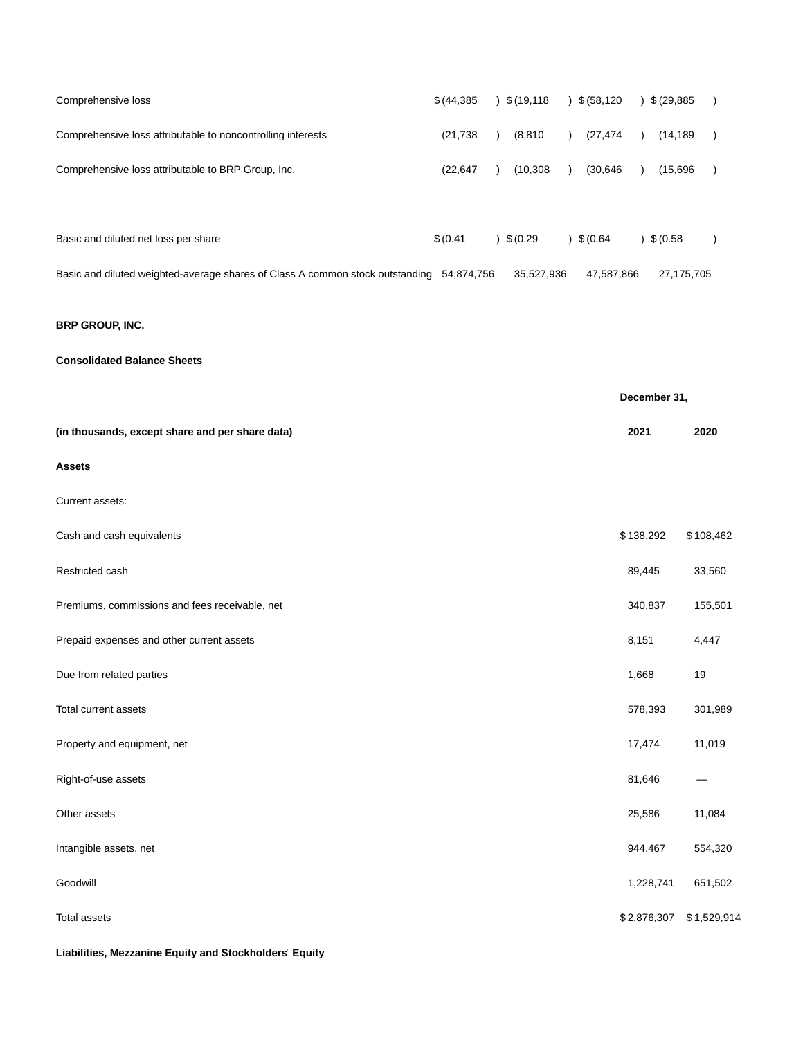| Comprehensive loss                                                                       | \$ (44, 385) |           | $)$ \$ (19,118 |           | $)$ \$ (58,120 |           | 3 (29, 885)  |              | $\lambda$   |
|------------------------------------------------------------------------------------------|--------------|-----------|----------------|-----------|----------------|-----------|--------------|--------------|-------------|
| Comprehensive loss attributable to noncontrolling interests                              | (21, 738)    | $\lambda$ | (8, 810)       | $\lambda$ | (27, 474)      |           | (14, 189)    |              |             |
| Comprehensive loss attributable to BRP Group, Inc.                                       | (22, 647)    | $\lambda$ | (10, 308)      | $\lambda$ | (30, 646)      |           | (15,696)     |              | $\lambda$   |
| Basic and diluted net loss per share                                                     | \$ (0.41)    |           | 3(0.29)        |           | 3(0.64)        |           | $)$ \$ (0.58 |              | $\lambda$   |
| Basic and diluted weighted-average shares of Class A common stock outstanding 54,874,756 |              |           | 35,527,936     |           | 47,587,866     |           |              | 27, 175, 705 |             |
| BRP GROUP, INC.                                                                          |              |           |                |           |                |           |              |              |             |
| <b>Consolidated Balance Sheets</b>                                                       |              |           |                |           |                |           |              |              |             |
|                                                                                          |              |           |                |           |                |           | December 31, |              |             |
| (in thousands, except share and per share data)                                          |              |           |                |           |                | 2021      |              | 2020         |             |
| Assets                                                                                   |              |           |                |           |                |           |              |              |             |
| Current assets:                                                                          |              |           |                |           |                |           |              |              |             |
| Cash and cash equivalents                                                                |              |           |                |           |                | \$138,292 |              | \$108,462    |             |
| Restricted cash                                                                          |              |           |                |           |                | 89,445    |              | 33,560       |             |
| Premiums, commissions and fees receivable, net                                           |              |           |                |           |                | 340,837   |              |              | 155,501     |
| Prepaid expenses and other current assets                                                |              |           |                |           |                | 8,151     |              | 4,447        |             |
| Due from related parties                                                                 |              |           |                |           |                | 1,668     |              | 19           |             |
| Total current assets                                                                     |              |           |                |           |                | 578,393   |              |              | 301,989     |
| Property and equipment, net                                                              |              |           |                |           |                | 17,474    |              | 11,019       |             |
| Right-of-use assets                                                                      |              |           |                |           |                | 81,646    |              |              |             |
| Other assets                                                                             |              |           |                |           |                | 25,586    |              |              | 11,084      |
| Intangible assets, net                                                                   |              |           |                |           |                | 944,467   |              |              | 554,320     |
| Goodwill                                                                                 |              |           |                |           |                |           | 1,228,741    |              | 651,502     |
| <b>Total assets</b>                                                                      |              |           |                |           |                |           | \$2,876,307  |              | \$1,529,914 |

**Liabilities, Mezzanine Equity and Stockholders**' **Equity**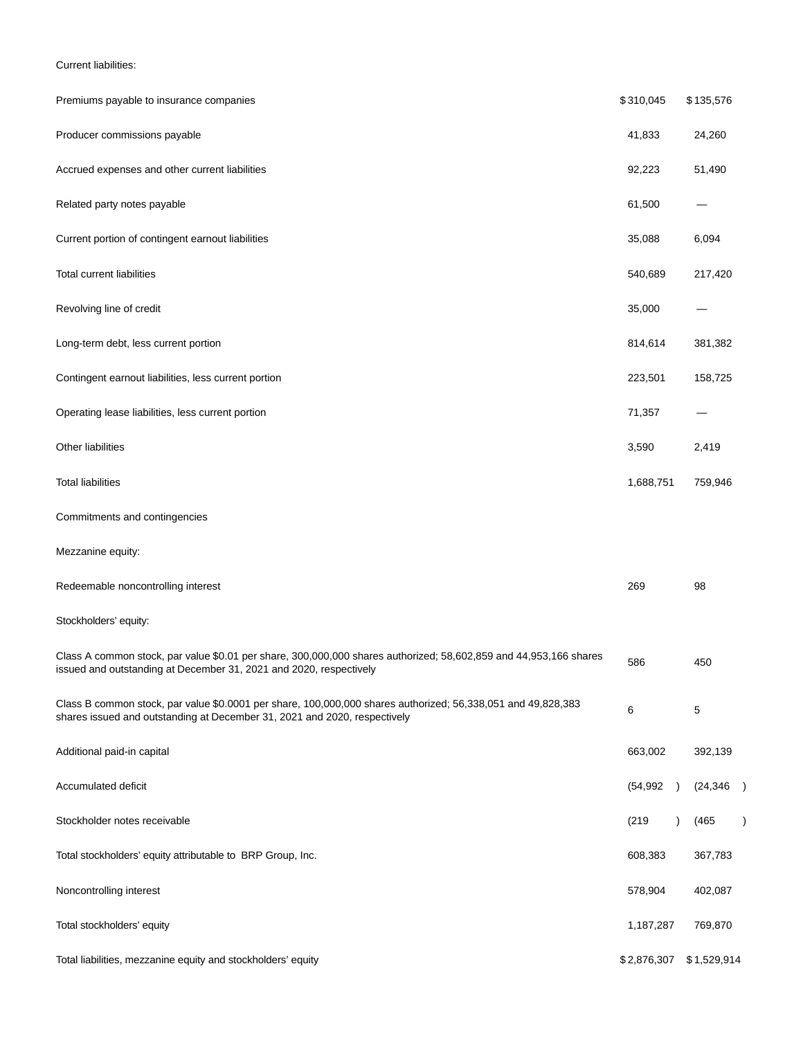## Current liabilities:

| Premiums payable to insurance companies                                                                                                                                                   | \$310,045   | \$135,576   |
|-------------------------------------------------------------------------------------------------------------------------------------------------------------------------------------------|-------------|-------------|
| Producer commissions payable                                                                                                                                                              | 41,833      | 24,260      |
| Accrued expenses and other current liabilities                                                                                                                                            | 92,223      | 51,490      |
| Related party notes payable                                                                                                                                                               | 61,500      |             |
| Current portion of contingent earnout liabilities                                                                                                                                         | 35,088      | 6,094       |
| <b>Total current liabilities</b>                                                                                                                                                          | 540,689     | 217,420     |
| Revolving line of credit                                                                                                                                                                  | 35,000      |             |
| Long-term debt, less current portion                                                                                                                                                      | 814,614     | 381,382     |
| Contingent earnout liabilities, less current portion                                                                                                                                      | 223,501     | 158,725     |
| Operating lease liabilities, less current portion                                                                                                                                         | 71,357      |             |
| Other liabilities                                                                                                                                                                         | 3,590       | 2,419       |
| <b>Total liabilities</b>                                                                                                                                                                  | 1,688,751   | 759,946     |
| Commitments and contingencies                                                                                                                                                             |             |             |
| Mezzanine equity:                                                                                                                                                                         |             |             |
| Redeemable noncontrolling interest                                                                                                                                                        | 269         | 98          |
| Stockholders' equity:                                                                                                                                                                     |             |             |
| Class A common stock, par value \$0.01 per share, 300,000,000 shares authorized; 58,602,859 and 44,953,166 shares<br>issued and outstanding at December 31, 2021 and 2020, respectively   | 586         | 450         |
| Class B common stock, par value \$0.0001 per share, 100,000,000 shares authorized; 56,338,051 and 49,828,383<br>shares issued and outstanding at December 31, 2021 and 2020, respectively | 6           | 5           |
| Additional paid-in capital                                                                                                                                                                | 663,002     | 392,139     |
| Accumulated deficit                                                                                                                                                                       | (54, 992)   | (24,346     |
| Stockholder notes receivable                                                                                                                                                              | (219)       | (465)       |
| Total stockholders' equity attributable to BRP Group, Inc.                                                                                                                                | 608,383     | 367,783     |
| Noncontrolling interest                                                                                                                                                                   | 578,904     | 402,087     |
| Total stockholders' equity                                                                                                                                                                | 1,187,287   | 769,870     |
| Total liabilities, mezzanine equity and stockholders' equity                                                                                                                              | \$2,876,307 | \$1,529,914 |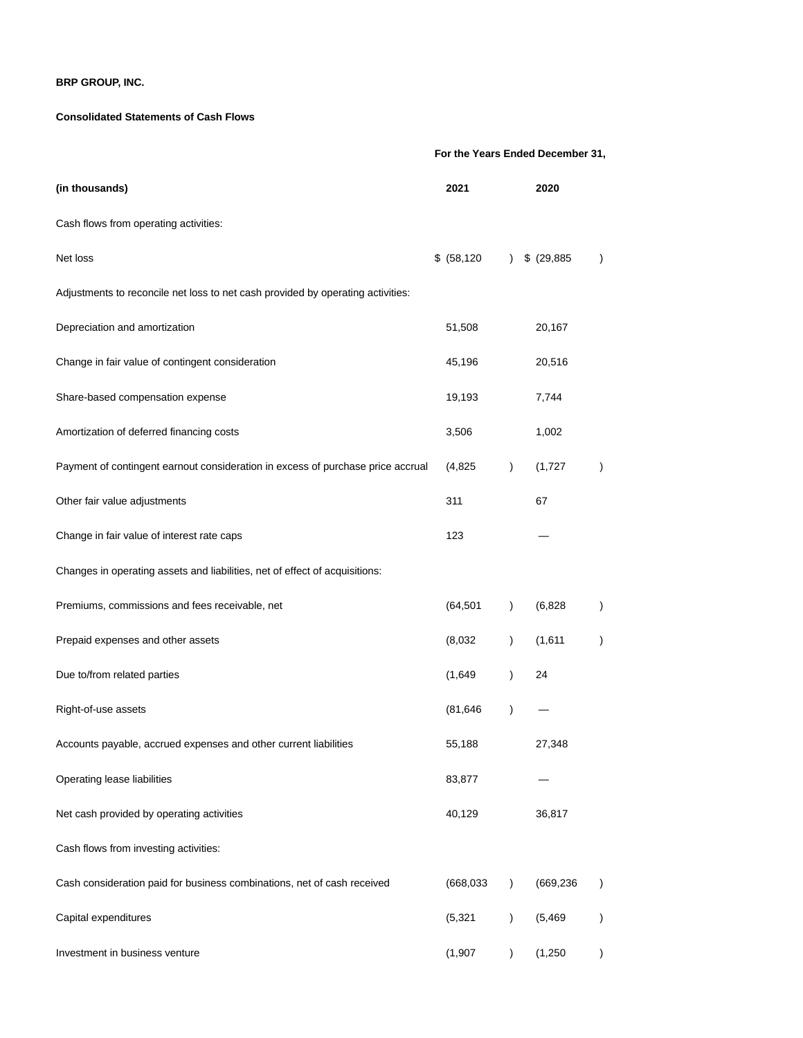## **BRP GROUP, INC.**

### **Consolidated Statements of Cash Flows**

## **For the Years Ended December 31,**

| (in thousands)                                                                  | 2021         |               | 2020        |               |
|---------------------------------------------------------------------------------|--------------|---------------|-------------|---------------|
| Cash flows from operating activities:                                           |              |               |             |               |
| Net loss                                                                        | \$ (58, 120) | $\lambda$     | \$ (29,885) | $\mathcal{E}$ |
| Adjustments to reconcile net loss to net cash provided by operating activities: |              |               |             |               |
| Depreciation and amortization                                                   | 51,508       |               | 20,167      |               |
| Change in fair value of contingent consideration                                | 45,196       |               | 20,516      |               |
| Share-based compensation expense                                                | 19,193       |               | 7,744       |               |
| Amortization of deferred financing costs                                        | 3,506        |               | 1,002       |               |
| Payment of contingent earnout consideration in excess of purchase price accrual | (4,825)      | $\lambda$     | (1,727)     | $\mathcal{E}$ |
| Other fair value adjustments                                                    | 311          |               | 67          |               |
| Change in fair value of interest rate caps                                      | 123          |               |             |               |
| Changes in operating assets and liabilities, net of effect of acquisitions:     |              |               |             |               |
| Premiums, commissions and fees receivable, net                                  | (64, 501)    | $\lambda$     | (6,828)     | $\mathcal{E}$ |
| Prepaid expenses and other assets                                               | (8,032)      | $\lambda$     | (1,611)     | $\mathcal{E}$ |
| Due to/from related parties                                                     | (1,649)      | $\lambda$     | 24          |               |
| Right-of-use assets                                                             | (81, 646)    | $\lambda$     |             |               |
| Accounts payable, accrued expenses and other current liabilities                | 55,188       |               | 27,348      |               |
| Operating lease liabilities                                                     | 83,877       |               |             |               |
| Net cash provided by operating activities                                       | 40,129       |               | 36,817      |               |
| Cash flows from investing activities:                                           |              |               |             |               |
| Cash consideration paid for business combinations, net of cash received         | (668, 033)   | $\mathcal{L}$ | (669, 236)  | $\mathcal{E}$ |
| Capital expenditures                                                            | (5, 321)     | $\mathcal{E}$ | (5, 469)    | $\mathcal{E}$ |
| Investment in business venture                                                  | (1, 907)     | $\mathcal{E}$ | (1,250)     | $\mathcal{C}$ |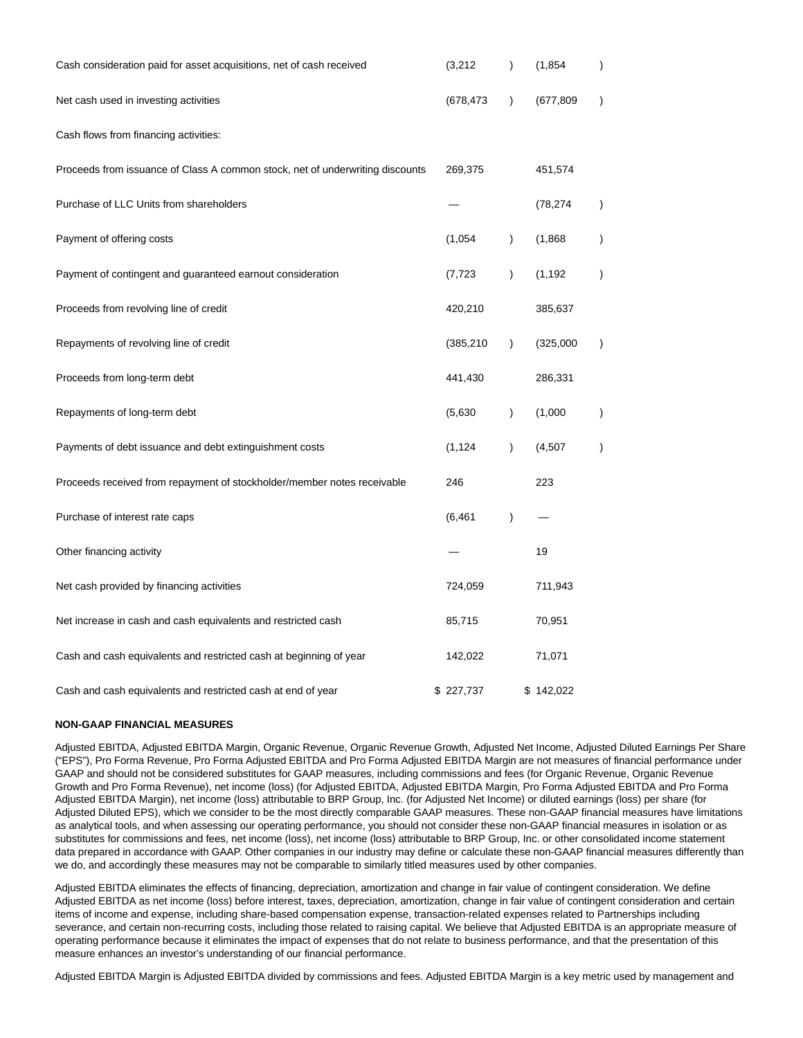| Cash consideration paid for asset acquisitions, net of cash received          | (3, 212)   | $\lambda$     | (1,854)    |               |
|-------------------------------------------------------------------------------|------------|---------------|------------|---------------|
| Net cash used in investing activities                                         | (678,473   | $\lambda$     | (677, 809) | $\lambda$     |
| Cash flows from financing activities:                                         |            |               |            |               |
| Proceeds from issuance of Class A common stock, net of underwriting discounts | 269,375    |               | 451,574    |               |
| Purchase of LLC Units from shareholders                                       |            |               | (78, 274)  | $\mathcal{E}$ |
| Payment of offering costs                                                     | (1,054)    | $\mathcal{L}$ | (1,868)    | $\mathcal{E}$ |
| Payment of contingent and guaranteed earnout consideration                    | (7, 723)   | $\mathcal{L}$ | (1, 192)   | $\mathcal{E}$ |
| Proceeds from revolving line of credit                                        | 420,210    |               | 385,637    |               |
| Repayments of revolving line of credit                                        | (385, 210) | $\lambda$     | (325,000)  | $\mathcal{E}$ |
| Proceeds from long-term debt                                                  | 441,430    |               | 286,331    |               |
| Repayments of long-term debt                                                  | (5,630)    | $\lambda$     | (1,000)    | $\big)$       |
| Payments of debt issuance and debt extinguishment costs                       | (1, 124)   | $\lambda$     | (4, 507)   | $\mathcal{E}$ |
| Proceeds received from repayment of stockholder/member notes receivable       | 246        |               | 223        |               |
| Purchase of interest rate caps                                                | (6, 461)   | $\mathcal{E}$ |            |               |
| Other financing activity                                                      |            |               | 19         |               |
| Net cash provided by financing activities                                     | 724,059    |               | 711,943    |               |
| Net increase in cash and cash equivalents and restricted cash                 | 85,715     |               | 70,951     |               |
| Cash and cash equivalents and restricted cash at beginning of year            | 142,022    |               | 71,071     |               |
| Cash and cash equivalents and restricted cash at end of year                  | \$227,737  |               | \$142,022  |               |

### **NON-GAAP FINANCIAL MEASURES**

Adjusted EBITDA, Adjusted EBITDA Margin, Organic Revenue, Organic Revenue Growth, Adjusted Net Income, Adjusted Diluted Earnings Per Share ("EPS"), Pro Forma Revenue, Pro Forma Adjusted EBITDA and Pro Forma Adjusted EBITDA Margin are not measures of financial performance under GAAP and should not be considered substitutes for GAAP measures, including commissions and fees (for Organic Revenue, Organic Revenue Growth and Pro Forma Revenue), net income (loss) (for Adjusted EBITDA, Adjusted EBITDA Margin, Pro Forma Adjusted EBITDA and Pro Forma Adjusted EBITDA Margin), net income (loss) attributable to BRP Group, Inc. (for Adjusted Net Income) or diluted earnings (loss) per share (for Adjusted Diluted EPS), which we consider to be the most directly comparable GAAP measures. These non-GAAP financial measures have limitations as analytical tools, and when assessing our operating performance, you should not consider these non-GAAP financial measures in isolation or as substitutes for commissions and fees, net income (loss), net income (loss) attributable to BRP Group, Inc. or other consolidated income statement data prepared in accordance with GAAP. Other companies in our industry may define or calculate these non-GAAP financial measures differently than we do, and accordingly these measures may not be comparable to similarly titled measures used by other companies.

Adjusted EBITDA eliminates the effects of financing, depreciation, amortization and change in fair value of contingent consideration. We define Adjusted EBITDA as net income (loss) before interest, taxes, depreciation, amortization, change in fair value of contingent consideration and certain items of income and expense, including share-based compensation expense, transaction-related expenses related to Partnerships including severance, and certain non-recurring costs, including those related to raising capital. We believe that Adjusted EBITDA is an appropriate measure of operating performance because it eliminates the impact of expenses that do not relate to business performance, and that the presentation of this measure enhances an investor's understanding of our financial performance.

Adjusted EBITDA Margin is Adjusted EBITDA divided by commissions and fees. Adjusted EBITDA Margin is a key metric used by management and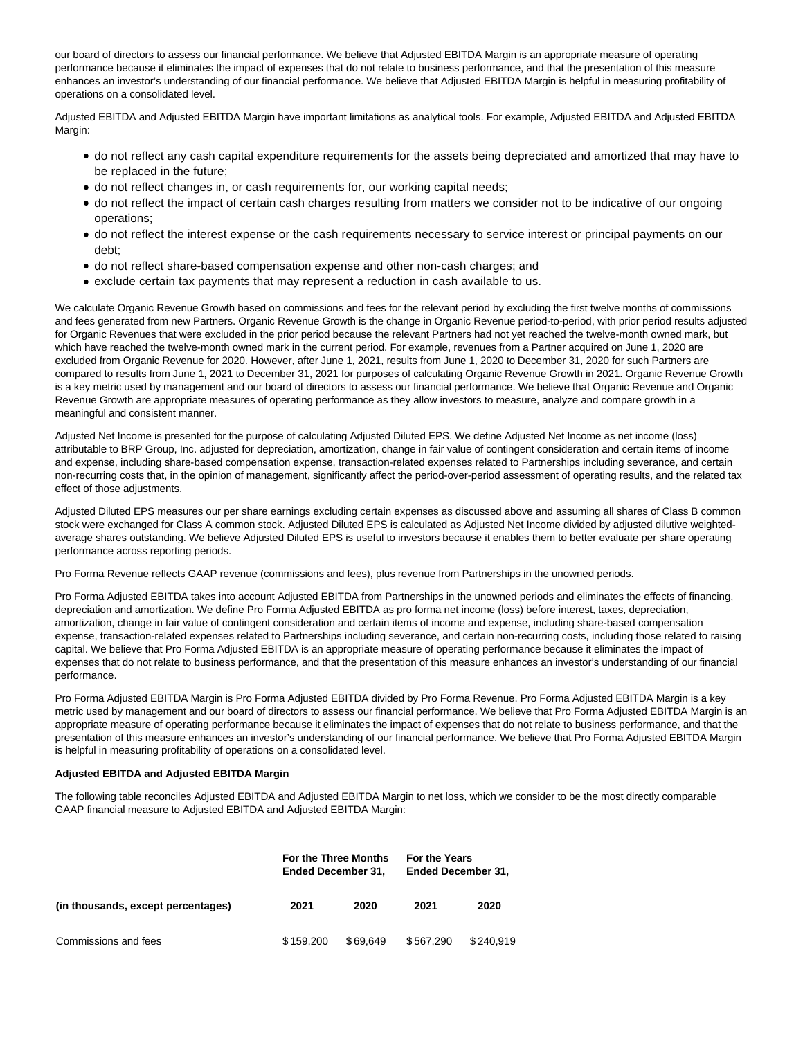our board of directors to assess our financial performance. We believe that Adjusted EBITDA Margin is an appropriate measure of operating performance because it eliminates the impact of expenses that do not relate to business performance, and that the presentation of this measure enhances an investor's understanding of our financial performance. We believe that Adjusted EBITDA Margin is helpful in measuring profitability of operations on a consolidated level.

Adjusted EBITDA and Adjusted EBITDA Margin have important limitations as analytical tools. For example, Adjusted EBITDA and Adjusted EBITDA Margin:

- do not reflect any cash capital expenditure requirements for the assets being depreciated and amortized that may have to be replaced in the future;
- do not reflect changes in, or cash requirements for, our working capital needs;
- do not reflect the impact of certain cash charges resulting from matters we consider not to be indicative of our ongoing operations;
- do not reflect the interest expense or the cash requirements necessary to service interest or principal payments on our debt;
- do not reflect share-based compensation expense and other non-cash charges; and
- exclude certain tax payments that may represent a reduction in cash available to us.

We calculate Organic Revenue Growth based on commissions and fees for the relevant period by excluding the first twelve months of commissions and fees generated from new Partners. Organic Revenue Growth is the change in Organic Revenue period-to-period, with prior period results adjusted for Organic Revenues that were excluded in the prior period because the relevant Partners had not yet reached the twelve-month owned mark, but which have reached the twelve-month owned mark in the current period. For example, revenues from a Partner acquired on June 1, 2020 are excluded from Organic Revenue for 2020. However, after June 1, 2021, results from June 1, 2020 to December 31, 2020 for such Partners are compared to results from June 1, 2021 to December 31, 2021 for purposes of calculating Organic Revenue Growth in 2021. Organic Revenue Growth is a key metric used by management and our board of directors to assess our financial performance. We believe that Organic Revenue and Organic Revenue Growth are appropriate measures of operating performance as they allow investors to measure, analyze and compare growth in a meaningful and consistent manner.

Adjusted Net Income is presented for the purpose of calculating Adjusted Diluted EPS. We define Adjusted Net Income as net income (loss) attributable to BRP Group, Inc. adjusted for depreciation, amortization, change in fair value of contingent consideration and certain items of income and expense, including share-based compensation expense, transaction-related expenses related to Partnerships including severance, and certain non-recurring costs that, in the opinion of management, significantly affect the period-over-period assessment of operating results, and the related tax effect of those adjustments.

Adjusted Diluted EPS measures our per share earnings excluding certain expenses as discussed above and assuming all shares of Class B common stock were exchanged for Class A common stock. Adjusted Diluted EPS is calculated as Adjusted Net Income divided by adjusted dilutive weightedaverage shares outstanding. We believe Adjusted Diluted EPS is useful to investors because it enables them to better evaluate per share operating performance across reporting periods.

Pro Forma Revenue reflects GAAP revenue (commissions and fees), plus revenue from Partnerships in the unowned periods.

Pro Forma Adjusted EBITDA takes into account Adjusted EBITDA from Partnerships in the unowned periods and eliminates the effects of financing, depreciation and amortization. We define Pro Forma Adjusted EBITDA as pro forma net income (loss) before interest, taxes, depreciation, amortization, change in fair value of contingent consideration and certain items of income and expense, including share-based compensation expense, transaction-related expenses related to Partnerships including severance, and certain non-recurring costs, including those related to raising capital. We believe that Pro Forma Adjusted EBITDA is an appropriate measure of operating performance because it eliminates the impact of expenses that do not relate to business performance, and that the presentation of this measure enhances an investor's understanding of our financial performance.

Pro Forma Adjusted EBITDA Margin is Pro Forma Adjusted EBITDA divided by Pro Forma Revenue. Pro Forma Adjusted EBITDA Margin is a key metric used by management and our board of directors to assess our financial performance. We believe that Pro Forma Adjusted EBITDA Margin is an appropriate measure of operating performance because it eliminates the impact of expenses that do not relate to business performance, and that the presentation of this measure enhances an investor's understanding of our financial performance. We believe that Pro Forma Adjusted EBITDA Margin is helpful in measuring profitability of operations on a consolidated level.

### **Adjusted EBITDA and Adjusted EBITDA Margin**

The following table reconciles Adjusted EBITDA and Adjusted EBITDA Margin to net loss, which we consider to be the most directly comparable GAAP financial measure to Adjusted EBITDA and Adjusted EBITDA Margin:

|                                    | <b>For the Three Months</b><br><b>Ended December 31,</b> |          | <b>For the Years</b><br><b>Ended December 31,</b> |           |  |
|------------------------------------|----------------------------------------------------------|----------|---------------------------------------------------|-----------|--|
| (in thousands, except percentages) | 2021                                                     | 2020     | 2021                                              | 2020      |  |
| Commissions and fees               | \$159,200                                                | \$69.649 | \$567.290                                         | \$240.919 |  |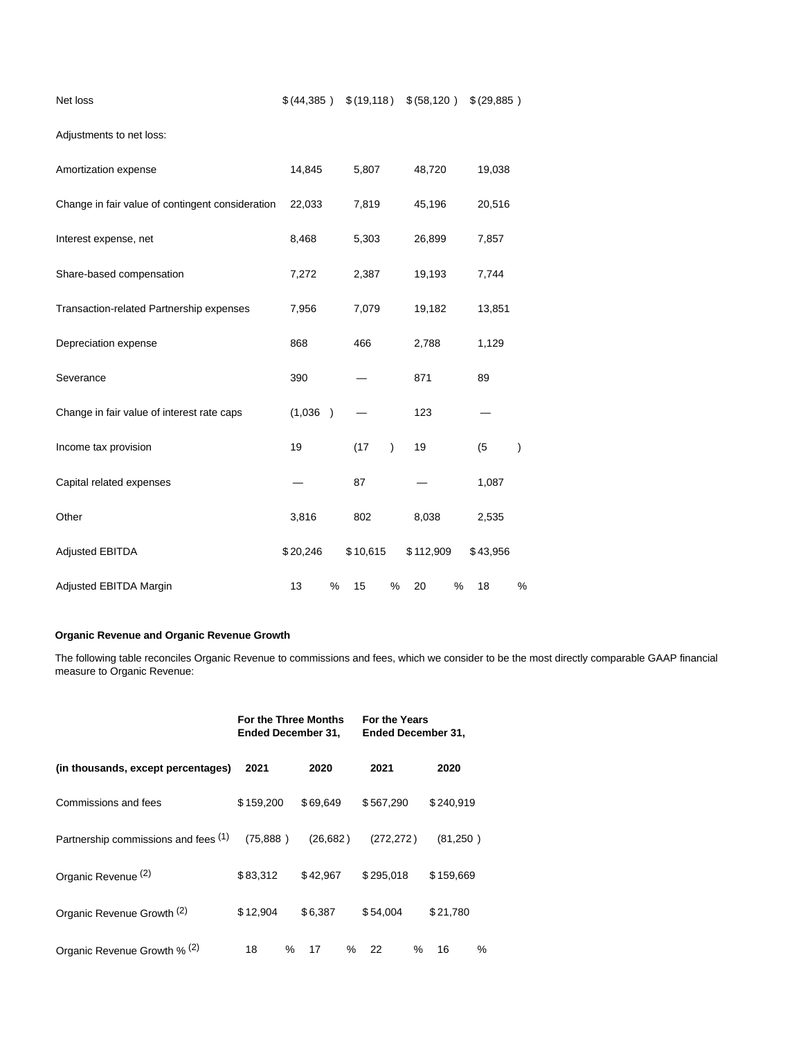| Adjustments to net loss:                         |          |               |          |               |           |   |          |               |
|--------------------------------------------------|----------|---------------|----------|---------------|-----------|---|----------|---------------|
| Amortization expense                             | 14,845   |               | 5,807    |               | 48,720    |   | 19,038   |               |
| Change in fair value of contingent consideration | 22,033   |               | 7,819    |               | 45,196    |   | 20,516   |               |
| Interest expense, net                            | 8,468    |               | 5,303    |               | 26,899    |   | 7,857    |               |
| Share-based compensation                         | 7,272    |               | 2,387    |               | 19,193    |   | 7,744    |               |
| Transaction-related Partnership expenses         | 7,956    |               | 7,079    |               | 19,182    |   | 13,851   |               |
| Depreciation expense                             | 868      |               | 466      |               | 2,788     |   | 1,129    |               |
| Severance                                        | 390      |               |          |               | 871       |   | 89       |               |
| Change in fair value of interest rate caps       | (1,036)  | $\rightarrow$ |          |               | 123       |   |          |               |
| Income tax provision                             | 19       |               | (17)     | $\mathcal{E}$ | 19        |   | (5)      | $\mathcal{E}$ |
| Capital related expenses                         |          |               | 87       |               |           |   | 1,087    |               |
| Other                                            | 3,816    |               | 802      |               | 8,038     |   | 2,535    |               |
| <b>Adjusted EBITDA</b>                           | \$20,246 |               | \$10,615 |               | \$112,909 |   | \$43,956 |               |
| Adjusted EBITDA Margin                           | 13       | %             | 15       | %             | 20        | % | 18       | %             |

Net loss  $\{(44,385) \quad \frac{1}{2}(19,118) \quad \frac{1}{2}(58,120) \quad \frac{1}{2}(29,885)$ 

## **Organic Revenue and Organic Revenue Growth**

The following table reconciles Organic Revenue to commissions and fees, which we consider to be the most directly comparable GAAP financial measure to Organic Revenue:

|                                      |           | <b>For the Three Months</b><br><b>Ended December 31,</b> | <b>For the Years</b><br><b>Ended December 31,</b> |           |  |  |  |
|--------------------------------------|-----------|----------------------------------------------------------|---------------------------------------------------|-----------|--|--|--|
| (in thousands, except percentages)   | 2021      | 2020                                                     | 2021                                              | 2020      |  |  |  |
| Commissions and fees                 | \$159,200 | \$69,649                                                 | \$567,290                                         | \$240,919 |  |  |  |
| Partnership commissions and fees (1) | (75,888)  | (26, 682)                                                | (272, 272)                                        | (81,250)  |  |  |  |
| Organic Revenue (2)                  | \$83,312  | \$42,967                                                 | \$295.018                                         | \$159,669 |  |  |  |
| Organic Revenue Growth (2)           | \$12,904  | \$6,387                                                  | \$54,004                                          | \$21,780  |  |  |  |
| Organic Revenue Growth % (2)         | 18        | $\%$<br>17<br>%                                          | $\%$<br>22                                        | %<br>16   |  |  |  |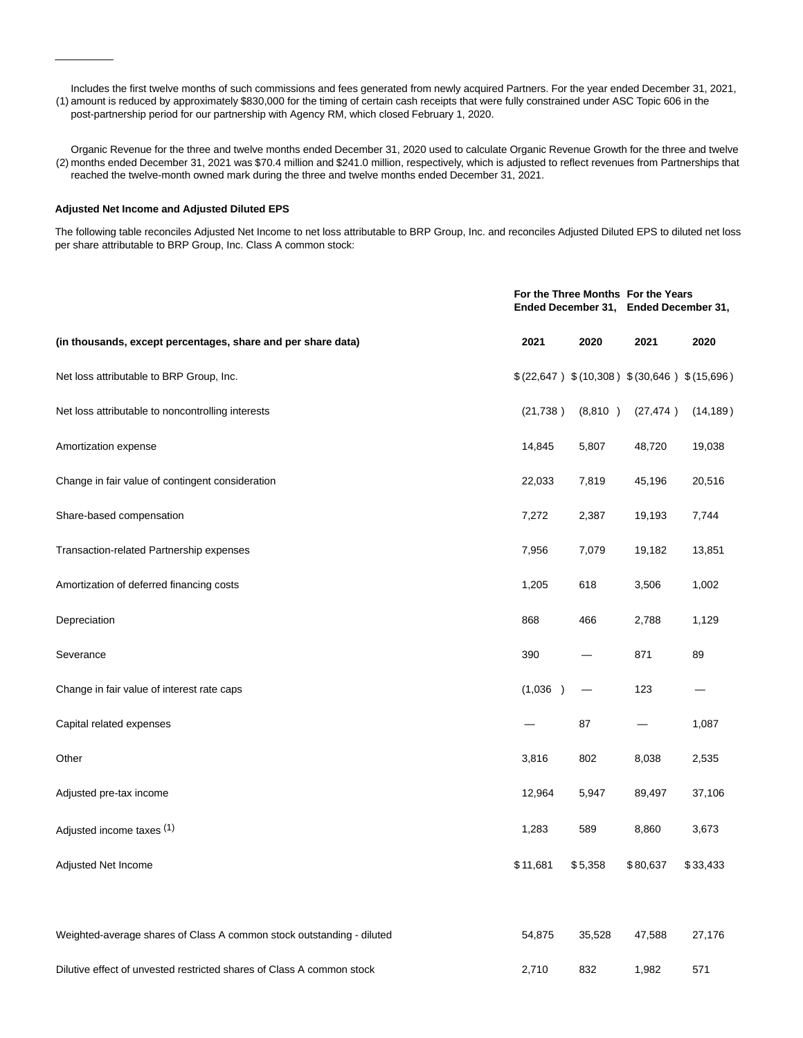(1) amount is reduced by approximately \$830,000 for the timing of certain cash receipts that were fully constrained under ASC Topic 606 in the Includes the first twelve months of such commissions and fees generated from newly acquired Partners. For the year ended December 31, 2021, post-partnership period for our partnership with Agency RM, which closed February 1, 2020.

(2) months ended December 31, 2021 was \$70.4 million and \$241.0 million, respectively, which is adjusted to reflect revenues from Partnerships that Organic Revenue for the three and twelve months ended December 31, 2020 used to calculate Organic Revenue Growth for the three and twelve reached the twelve-month owned mark during the three and twelve months ended December 31, 2021.

### **Adjusted Net Income and Adjusted Diluted EPS**

 $\overline{\phantom{a}}$ 

The following table reconciles Adjusted Net Income to net loss attributable to BRP Group, Inc. and reconciles Adjusted Diluted EPS to diluted net loss per share attributable to BRP Group, Inc. Class A common stock:

|                                                                       |           |         | For the Three Months For the Years<br>Ended December 31, Ended December 31, |           |  |  |
|-----------------------------------------------------------------------|-----------|---------|-----------------------------------------------------------------------------|-----------|--|--|
| (in thousands, except percentages, share and per share data)          | 2021      | 2020    | 2021                                                                        | 2020      |  |  |
| Net loss attributable to BRP Group, Inc.                              |           |         | $$(22,647)$ $$(10,308)$ $$(30,646)$ $$(15,696)$                             |           |  |  |
| Net loss attributable to noncontrolling interests                     | (21, 738) | (8,810) | (27, 474)                                                                   | (14, 189) |  |  |
| Amortization expense                                                  | 14,845    | 5,807   | 48,720                                                                      | 19,038    |  |  |
| Change in fair value of contingent consideration                      | 22,033    | 7,819   | 45,196                                                                      | 20,516    |  |  |
| Share-based compensation                                              | 7,272     | 2,387   | 19,193                                                                      | 7,744     |  |  |
| Transaction-related Partnership expenses                              | 7,956     | 7,079   | 19,182                                                                      | 13,851    |  |  |
| Amortization of deferred financing costs                              | 1,205     | 618     | 3,506                                                                       | 1,002     |  |  |
| Depreciation                                                          | 868       | 466     | 2,788                                                                       | 1,129     |  |  |
| Severance                                                             | 390       |         | 871                                                                         | 89        |  |  |
| Change in fair value of interest rate caps                            | (1,036)   |         | 123                                                                         |           |  |  |
| Capital related expenses                                              |           | 87      |                                                                             | 1,087     |  |  |
| Other                                                                 | 3,816     | 802     | 8,038                                                                       | 2,535     |  |  |
| Adjusted pre-tax income                                               | 12,964    | 5,947   | 89,497                                                                      | 37,106    |  |  |
| Adjusted income taxes (1)                                             | 1,283     | 589     | 8,860                                                                       | 3,673     |  |  |
| Adjusted Net Income                                                   | \$11,681  | \$5,358 | \$80,637                                                                    | \$33,433  |  |  |
|                                                                       |           |         |                                                                             |           |  |  |
| Weighted-average shares of Class A common stock outstanding - diluted | 54,875    | 35,528  | 47,588                                                                      | 27,176    |  |  |
| Dilutive effect of unvested restricted shares of Class A common stock | 2,710     | 832     | 1,982                                                                       | 571       |  |  |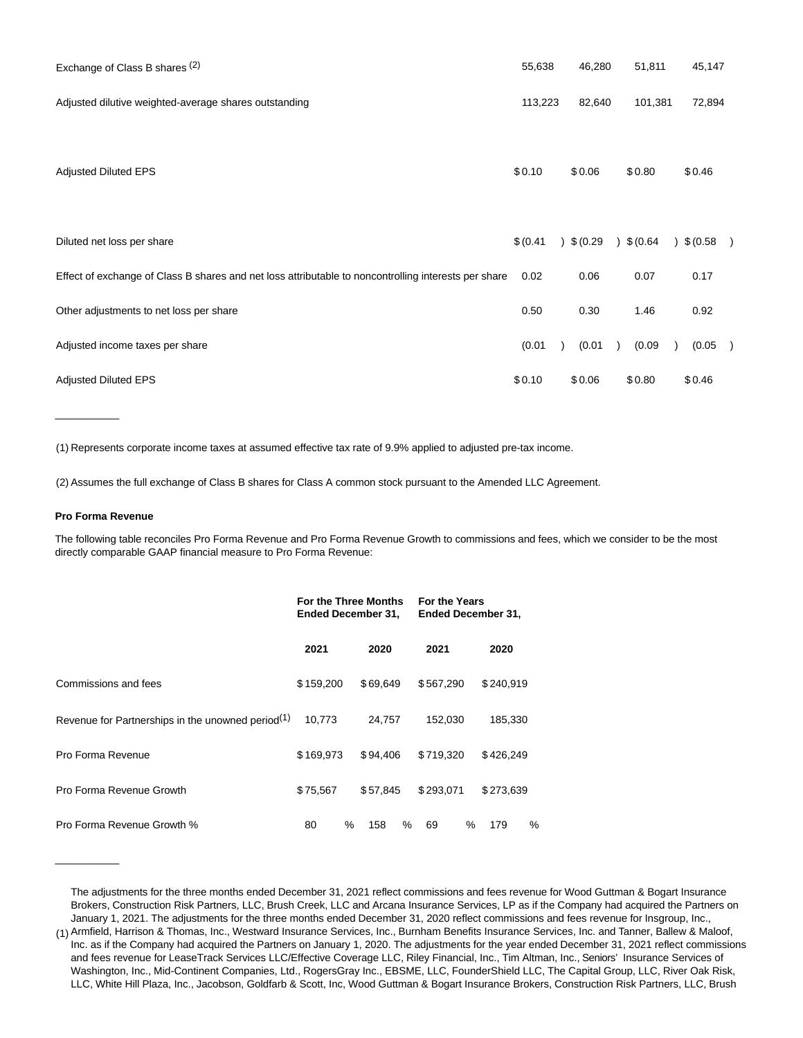| Exchange of Class B shares (2)                                                                       | 55,638    | 46,280  | 51,811  | 45,147         |  |
|------------------------------------------------------------------------------------------------------|-----------|---------|---------|----------------|--|
| Adjusted dilutive weighted-average shares outstanding                                                | 113,223   | 82,640  | 101,381 | 72,894         |  |
| <b>Adjusted Diluted EPS</b>                                                                          | \$0.10    | \$0.06  | \$0.80  | \$0.46         |  |
| Diluted net loss per share                                                                           | \$ (0.41) | 3(0.29) | 3(0.64) | $)$ \$ (0.58 ) |  |
| Effect of exchange of Class B shares and net loss attributable to noncontrolling interests per share | 0.02      | 0.06    | 0.07    | 0.17           |  |
| Other adjustments to net loss per share                                                              | 0.50      | 0.30    | 1.46    | 0.92           |  |
| Adjusted income taxes per share                                                                      | (0.01)    | (0.01)  | (0.09)  | (0.05)         |  |
| <b>Adjusted Diluted EPS</b>                                                                          | \$0.10    | \$0.06  | \$0.80  | \$0.46         |  |

(1) Represents corporate income taxes at assumed effective tax rate of 9.9% applied to adjusted pre-tax income.

(2) Assumes the full exchange of Class B shares for Class A common stock pursuant to the Amended LLC Agreement.

### **Pro Forma Revenue**

 $\overline{\phantom{a}}$ 

\_\_\_\_\_\_\_\_\_\_\_

The following table reconciles Pro Forma Revenue and Pro Forma Revenue Growth to commissions and fees, which we consider to be the most directly comparable GAAP financial measure to Pro Forma Revenue:

|                                                               | For the Three Months<br><b>Ended December 31,</b> |   | For the Years<br><b>Ended December 31,</b> |   |           |   |           |               |
|---------------------------------------------------------------|---------------------------------------------------|---|--------------------------------------------|---|-----------|---|-----------|---------------|
|                                                               | 2021                                              |   | 2020                                       |   | 2021      |   | 2020      |               |
| Commissions and fees                                          | \$159,200                                         |   | \$69,649                                   |   | \$567,290 |   | \$240,919 |               |
| Revenue for Partnerships in the unowned period <sup>(1)</sup> | 10,773                                            |   | 24.757                                     |   | 152.030   |   | 185,330   |               |
| Pro Forma Revenue                                             | \$169,973                                         |   | \$94,406                                   |   | \$719,320 |   | \$426,249 |               |
| Pro Forma Revenue Growth                                      | \$75,567                                          |   | \$57,845                                   |   | \$293,071 |   | \$273,639 |               |
| Pro Forma Revenue Growth %                                    | 80                                                | % | 158                                        | ℅ | 69        | ℅ | 179       | $\frac{0}{0}$ |

The adjustments for the three months ended December 31, 2021 reflect commissions and fees revenue for Wood Guttman & Bogart Insurance Brokers, Construction Risk Partners, LLC, Brush Creek, LLC and Arcana Insurance Services, LP as if the Company had acquired the Partners on January 1, 2021. The adjustments for the three months ended December 31, 2020 reflect commissions and fees revenue for Insgroup, Inc.,

(1) Armfield, Harrison & Thomas, Inc., Westward Insurance Services, Inc., Burnham Benefits Insurance Services, Inc. and Tanner, Ballew & Maloof, Inc. as if the Company had acquired the Partners on January 1, 2020. The adjustments for the year ended December 31, 2021 reflect commissions and fees revenue for LeaseTrack Services LLC/Effective Coverage LLC, Riley Financial, Inc., Tim Altman, Inc., Seniors' Insurance Services of Washington, Inc., Mid-Continent Companies, Ltd., RogersGray Inc., EBSME, LLC, FounderShield LLC, The Capital Group, LLC, River Oak Risk, LLC, White Hill Plaza, Inc., Jacobson, Goldfarb & Scott, Inc, Wood Guttman & Bogart Insurance Brokers, Construction Risk Partners, LLC, Brush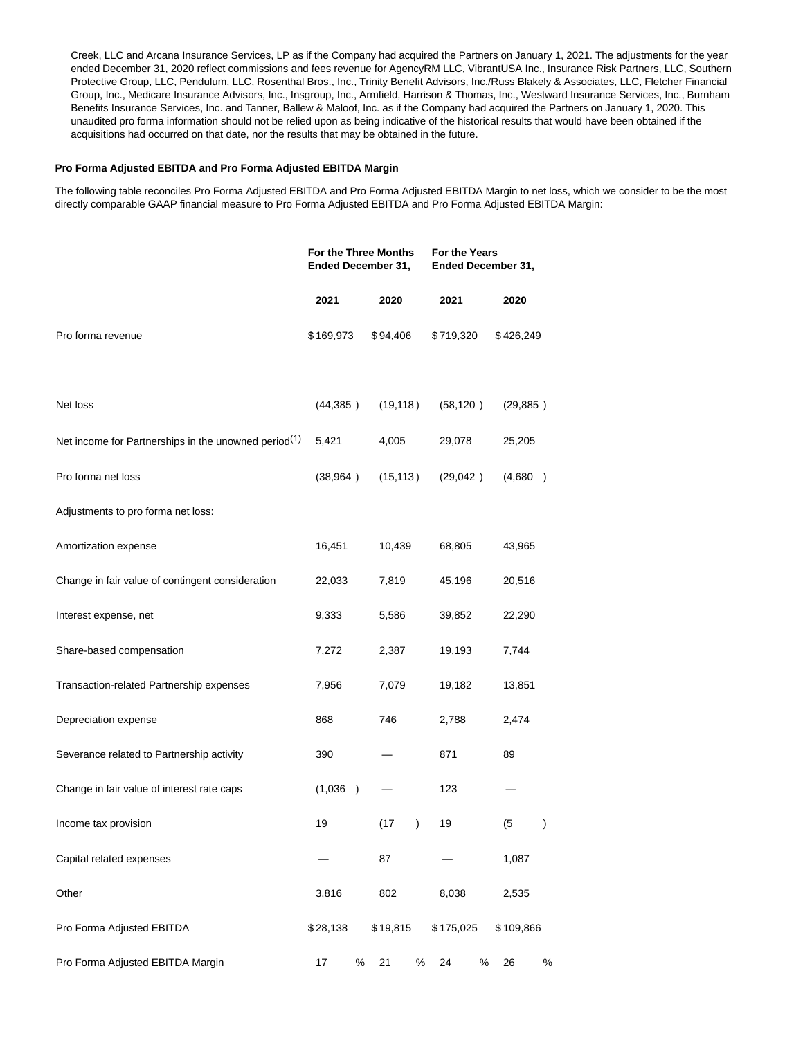Creek, LLC and Arcana Insurance Services, LP as if the Company had acquired the Partners on January 1, 2021. The adjustments for the year ended December 31, 2020 reflect commissions and fees revenue for AgencyRM LLC, VibrantUSA Inc., Insurance Risk Partners, LLC, Southern Protective Group, LLC, Pendulum, LLC, Rosenthal Bros., Inc., Trinity Benefit Advisors, Inc./Russ Blakely & Associates, LLC, Fletcher Financial Group, Inc., Medicare Insurance Advisors, Inc., Insgroup, Inc., Armfield, Harrison & Thomas, Inc., Westward Insurance Services, Inc., Burnham Benefits Insurance Services, Inc. and Tanner, Ballew & Maloof, Inc. as if the Company had acquired the Partners on January 1, 2020. This unaudited pro forma information should not be relied upon as being indicative of the historical results that would have been obtained if the acquisitions had occurred on that date, nor the results that may be obtained in the future.

### **Pro Forma Adjusted EBITDA and Pro Forma Adjusted EBITDA Margin**

The following table reconciles Pro Forma Adjusted EBITDA and Pro Forma Adjusted EBITDA Margin to net loss, which we consider to be the most directly comparable GAAP financial measure to Pro Forma Adjusted EBITDA and Pro Forma Adjusted EBITDA Margin:

|                                                                  | For the Three Months<br>Ended December 31, |                                      | For the Years<br>Ended December 31, |                          |  |  |
|------------------------------------------------------------------|--------------------------------------------|--------------------------------------|-------------------------------------|--------------------------|--|--|
|                                                                  | 2021                                       | 2020                                 | 2021                                | 2020                     |  |  |
| Pro forma revenue                                                | \$169,973                                  | \$94,406                             | \$719,320                           | \$426,249                |  |  |
| Net loss                                                         | (44, 385)                                  | (19, 118)                            | (58, 120)                           | (29, 885)                |  |  |
| Net income for Partnerships in the unowned period <sup>(1)</sup> | 5,421                                      | 4,005                                | 29,078                              | 25,205                   |  |  |
| Pro forma net loss                                               | (38, 964)                                  | (15, 113)                            | (29,042)                            | (4,680)<br>$\rightarrow$ |  |  |
| Adjustments to pro forma net loss:                               |                                            |                                      |                                     |                          |  |  |
| Amortization expense                                             | 16,451                                     | 10,439                               | 68,805                              | 43,965                   |  |  |
| Change in fair value of contingent consideration                 | 22,033                                     | 7,819                                | 45,196                              | 20,516                   |  |  |
| Interest expense, net                                            | 9,333                                      | 5,586                                | 39,852                              | 22,290                   |  |  |
| Share-based compensation                                         | 7,272                                      | 2,387                                | 19,193                              | 7,744                    |  |  |
| Transaction-related Partnership expenses                         | 7,956                                      | 7,079                                | 19,182                              | 13,851                   |  |  |
| Depreciation expense                                             | 868                                        | 746                                  | 2,788                               | 2,474                    |  |  |
| Severance related to Partnership activity                        | 390                                        |                                      | 871                                 | 89                       |  |  |
| Change in fair value of interest rate caps                       | (1,036)<br>$\rightarrow$                   |                                      | 123                                 |                          |  |  |
| Income tax provision                                             | 19                                         | (17)<br>$\left( \frac{1}{2} \right)$ | 19                                  | (5)<br>$\lambda$         |  |  |
| Capital related expenses                                         |                                            | 87                                   |                                     | 1,087                    |  |  |
| Other                                                            | 3,816                                      | 802                                  | 8,038                               | 2,535                    |  |  |
| Pro Forma Adjusted EBITDA                                        | \$28,138                                   | \$19,815                             | \$175,025                           | \$109,866                |  |  |
| Pro Forma Adjusted EBITDA Margin                                 | 17<br>$\%$                                 | 21<br>$\%$                           | $\%$<br>24                          | 26<br>$\%$               |  |  |